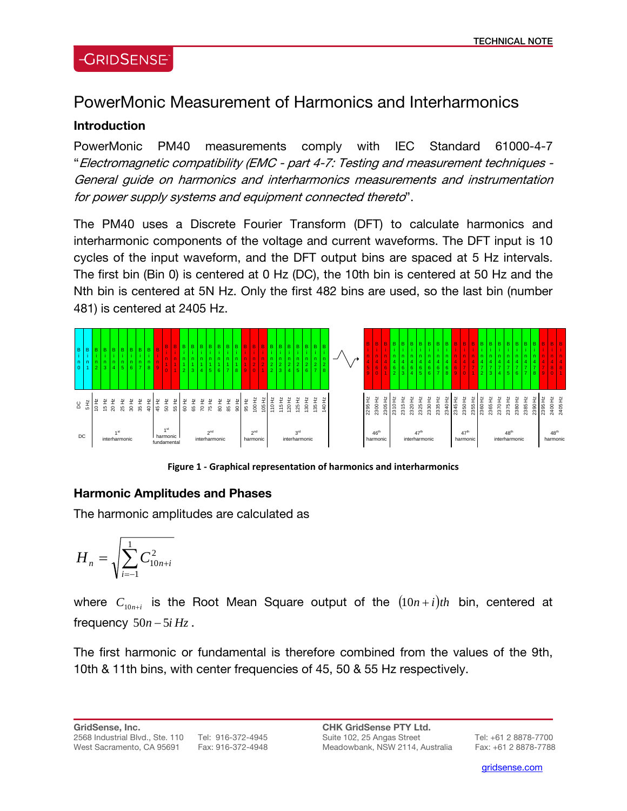### **-GRIDSENSE**

# PowerMonic Measurement of Harmonics and Interharmonics

#### **Introduction**

PowerMonic PM40 measurements comply with IEC Standard 61000-4-7 "Electromagnetic compatibility (EMC - part 4-7: Testing and measurement techniques - General guide on harmonics and interharmonics measurements and instrumentation for power supply systems and equipment connected thereto".

The PM40 uses a Discrete Fourier Transform (DFT) to calculate harmonics and interharmonic components of the voltage and current waveforms. The DFT input is 10 cycles of the input waveform, and the DFT output bins are spaced at 5 Hz intervals. The first bin (Bin 0) is centered at 0 Hz (DC), the 10th bin is centered at 50 Hz and the Nth bin is centered at 5N Hz. Only the first 482 bins are used, so the last bin (number 481) is centered at 2405 Hz.



**Figure 1 ‐ Graphical representation of harmonics and interharmonics**

#### **Harmonic Amplitudes and Phases**

The harmonic amplitudes are calculated as

$$
H_n = \sqrt{\sum_{i=-1}^{1} C_{10n+i}^2}
$$

where  $C_{10n+i}$  is the Root Mean Square output of the  $(10n+i)th$  bin, centered at frequency  $50n - 5i$   $Hz$ .

The first harmonic or fundamental is therefore combined from the values of the 9th, 10th & 11th bins, with center frequencies of 45, 50 & 55 Hz respectively.

**GridSense, Inc.**  2568 Industrial Blvd., Ste. 110 Tel: 916-372-4945 West Sacramento, CA 95691 Fax: 916-372-4948

l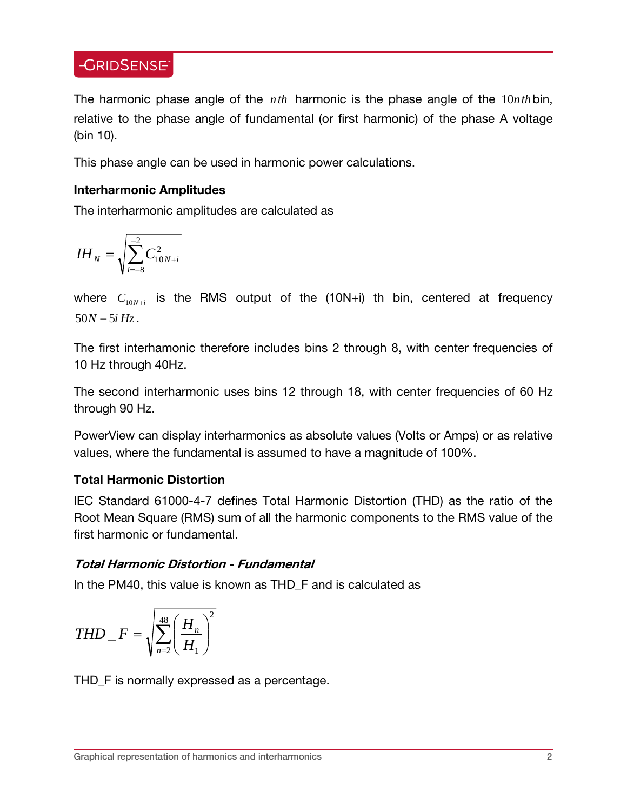### **-GRIDSENSE**

The harmonic phase angle of the *nth* harmonic is the phase angle of the 10*nth*bin, relative to the phase angle of fundamental (or first harmonic) of the phase A voltage (bin 10).

This phase angle can be used in harmonic power calculations.

#### **Interharmonic Amplitudes**

The interharmonic amplitudes are calculated as

$$
IH_{N} = \sqrt{\sum_{i=-8}^{-2} C_{10N+i}^{2}}
$$

where  $C_{10N+i}$  is the RMS output of the  $(10N+i)$  th bin, centered at frequency  $50N - 5iHz$ .

The first interhamonic therefore includes bins 2 through 8, with center frequencies of 10 Hz through 40Hz.

The second interharmonic uses bins 12 through 18, with center frequencies of 60 Hz through 90 Hz.

PowerView can display interharmonics as absolute values (Volts or Amps) or as relative values, where the fundamental is assumed to have a magnitude of 100%.

#### **Total Harmonic Distortion**

IEC Standard 61000-4-7 defines Total Harmonic Distortion (THD) as the ratio of the Root Mean Square (RMS) sum of all the harmonic components to the RMS value of the first harmonic or fundamental.

#### **Total Harmonic Distortion - Fundamental**

In the PM40, this value is known as THD\_F and is calculated as

$$
THD \_ F = \sqrt{\sum_{n=2}^{48} \left(\frac{H_n}{H_1}\right)^2}
$$

THD\_F is normally expressed as a percentage.

L